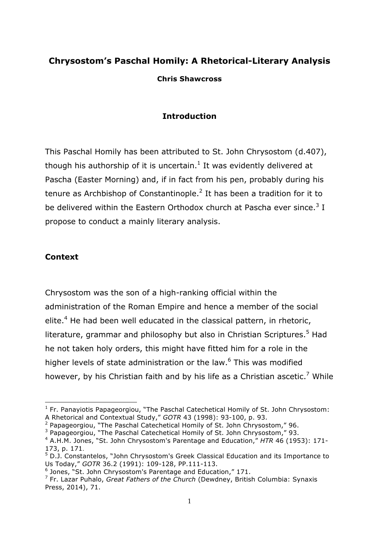# **Chrysostom's Paschal Homily: A Rhetorical-Literary Analysis**

**Chris Shawcross**

#### **Introduction**

This Paschal Homily has been attributed to St. John Chrysostom (d.407), though his authorship of it is uncertain.<sup>1</sup> It was evidently delivered at Pascha (Easter Morning) and, if in fact from his pen, probably during his tenure as Archbishop of Constantinople.<sup>2</sup> It has been a tradition for it to be delivered within the Eastern Orthodox church at Pascha ever since. $3$  I propose to conduct a mainly literary analysis.

#### **Context**

l

Chrysostom was the son of a high-ranking official within the administration of the Roman Empire and hence a member of the social elite.<sup>4</sup> He had been well educated in the classical pattern, in rhetoric, literature, grammar and philosophy but also in Christian Scriptures.<sup>5</sup> Had he not taken holy orders, this might have fitted him for a role in the higher levels of state administration or the law.<sup>6</sup> This was modified however, by his Christian faith and by his life as a Christian ascetic.<sup>7</sup> While

 $1$  Fr. Panayiotis Papageorgiou, "The Paschal Catechetical Homily of St. John Chrysostom: A Rhetorical and Contextual Study," *GOTR* 43 (1998): 93-100, p. 93.

 $2$  Papageorgiou, "The Paschal Catechetical Homily of St. John Chrysostom," 96.

 $3$  Papageorgiou, "The Paschal Catechetical Homily of St. John Chrysostom," 93.

<sup>4</sup> A.H.M. Jones, "St. John Chrysostom's Parentage and Education," *HTR* 46 (1953): 171- 173, p. 171.

 $5$  D.J. Constantelos, "John Chrysostom's Greek Classical Education and its Importance to Us Today," *GOTR* 36.2 (1991): 109-128, PP.111-113.

<sup>6</sup> Jones, "St. John Chrysostom's Parentage and Education," 171.

<sup>7</sup> Fr. Lazar Puhalo, *Great Fathers of the Church* (Dewdney, British Columbia: Synaxis Press, 2014), 71.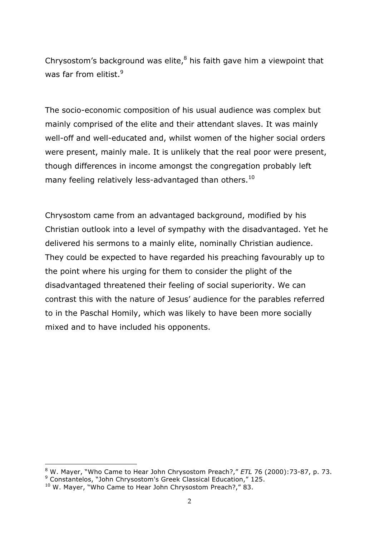Chrysostom's background was elite, $8$  his faith gave him a viewpoint that was far from elitist.<sup>9</sup>

The socio-economic composition of his usual audience was complex but mainly comprised of the elite and their attendant slaves. It was mainly well-off and well-educated and, whilst women of the higher social orders were present, mainly male. It is unlikely that the real poor were present, though differences in income amongst the congregation probably left many feeling relatively less-advantaged than others. $^{10}$ 

Chrysostom came from an advantaged background, modified by his Christian outlook into a level of sympathy with the disadvantaged. Yet he delivered his sermons to a mainly elite, nominally Christian audience. They could be expected to have regarded his preaching favourably up to the point where his urging for them to consider the plight of the disadvantaged threatened their feeling of social superiority. We can contrast this with the nature of Jesus' audience for the parables referred to in the Paschal Homily, which was likely to have been more socially mixed and to have included his opponents.

l <sup>8</sup> W. Mayer, "Who Came to Hear John Chrysostom Preach?," *ETL* 76 (2000):73-87, p. 73. <sup>9</sup> Constantelos, "John Chrysostom's Greek Classical Education," 125.

<sup>&</sup>lt;sup>10</sup> W. Mayer, "Who Came to Hear John Chrysostom Preach?," 83.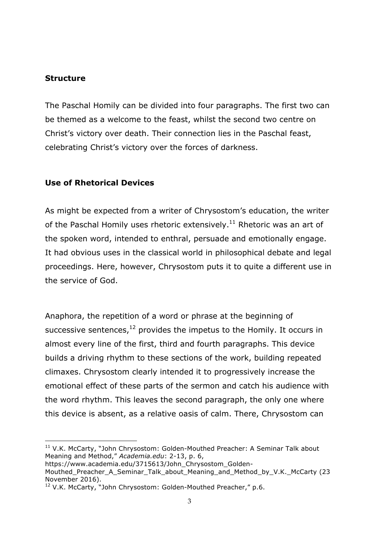#### **Structure**

 $\overline{a}$ 

The Paschal Homily can be divided into four paragraphs. The first two can be themed as a welcome to the feast, whilst the second two centre on Christ's victory over death. Their connection lies in the Paschal feast, celebrating Christ's victory over the forces of darkness.

### **Use of Rhetorical Devices**

As might be expected from a writer of Chrysostom's education, the writer of the Paschal Homily uses rhetoric extensively. $^{11}$  Rhetoric was an art of the spoken word, intended to enthral, persuade and emotionally engage. It had obvious uses in the classical world in philosophical debate and legal proceedings. Here, however, Chrysostom puts it to quite a different use in the service of God.

Anaphora, the repetition of a word or phrase at the beginning of successive sentences, $^{12}$  provides the impetus to the Homily. It occurs in almost every line of the first, third and fourth paragraphs. This device builds a driving rhythm to these sections of the work, building repeated climaxes. Chrysostom clearly intended it to progressively increase the emotional effect of these parts of the sermon and catch his audience with the word rhythm. This leaves the second paragraph, the only one where this device is absent, as a relative oasis of calm. There, Chrysostom can

<sup>&</sup>lt;sup>11</sup> V.K. McCarty, "John Chrysostom: Golden-Mouthed Preacher: A Seminar Talk about Meaning and Method," *Academia.edu*: 2-13, p. 6,

https://www.academia.edu/3715613/John\_Chrysostom\_Golden-

Mouthed\_Preacher\_A\_Seminar\_Talk\_about\_Meaning\_and\_Method\_by\_V.K.\_McCarty (23 November 2016).

<sup>&</sup>lt;sup>12</sup> V.K. McCarty, "John Chrysostom: Golden-Mouthed Preacher," p.6.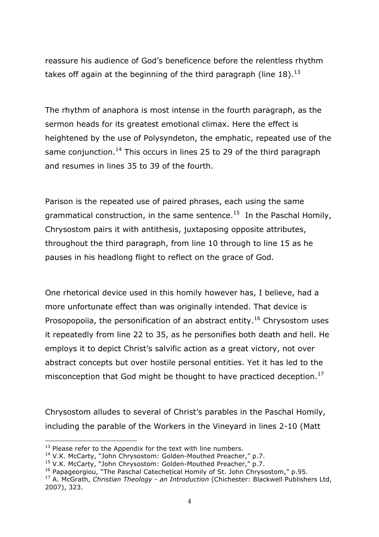reassure his audience of God's beneficence before the relentless rhythm takes off again at the beginning of the third paragraph (line 18).<sup>13</sup>

The rhythm of anaphora is most intense in the fourth paragraph, as the sermon heads for its greatest emotional climax. Here the effect is heightened by the use of Polysyndeton, the emphatic, repeated use of the same conjunction.<sup>14</sup> This occurs in lines 25 to 29 of the third paragraph and resumes in lines 35 to 39 of the fourth.

Parison is the repeated use of paired phrases, each using the same grammatical construction, in the same sentence.<sup>15</sup> In the Paschal Homily, Chrysostom pairs it with antithesis, juxtaposing opposite attributes, throughout the third paragraph, from line 10 through to line 15 as he pauses in his headlong flight to reflect on the grace of God.

One rhetorical device used in this homily however has, I believe, had a more unfortunate effect than was originally intended. That device is Prosopopoiia, the personification of an abstract entity.<sup>16</sup> Chrysostom uses it repeatedly from line 22 to 35, as he personifies both death and hell. He employs it to depict Christ's salvific action as a great victory, not over abstract concepts but over hostile personal entities. Yet it has led to the misconception that God might be thought to have practiced deception.<sup>17</sup>

Chrysostom alludes to several of Christ's parables in the Paschal Homily, including the parable of the Workers in the Vineyard in lines 2-10 (Matt

 $\overline{a}$ 

 $13$  Please refer to the Appendix for the text with line numbers.

<sup>14</sup> V.K. McCarty, "John Chrysostom: Golden-Mouthed Preacher," p.7.

<sup>&</sup>lt;sup>15</sup> V.K. McCarty, "John Chrysostom: Golden-Mouthed Preacher," p.7.

 $16$  Papageorgiou, "The Paschal Catechetical Homily of St. John Chrysostom," p.95.

<sup>17</sup> A. McGrath, *Christian Theology - an Introduction* (Chichester: Blackwell Publishers Ltd, 2007), 323.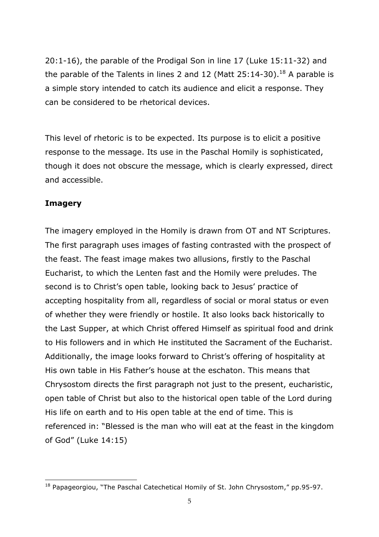20:1-16), the parable of the Prodigal Son in line 17 (Luke 15:11-32) and the parable of the Talents in lines 2 and 12 (Matt  $25:14-30$ ).<sup>18</sup> A parable is a simple story intended to catch its audience and elicit a response. They can be considered to be rhetorical devices.

This level of rhetoric is to be expected. Its purpose is to elicit a positive response to the message. Its use in the Paschal Homily is sophisticated, though it does not obscure the message, which is clearly expressed, direct and accessible.

#### **Imagery**

The imagery employed in the Homily is drawn from OT and NT Scriptures. The first paragraph uses images of fasting contrasted with the prospect of the feast. The feast image makes two allusions, firstly to the Paschal Eucharist, to which the Lenten fast and the Homily were preludes. The second is to Christ's open table, looking back to Jesus' practice of accepting hospitality from all, regardless of social or moral status or even of whether they were friendly or hostile. It also looks back historically to the Last Supper, at which Christ offered Himself as spiritual food and drink to His followers and in which He instituted the Sacrament of the Eucharist. Additionally, the image looks forward to Christ's offering of hospitality at His own table in His Father's house at the eschaton. This means that Chrysostom directs the first paragraph not just to the present, eucharistic, open table of Christ but also to the historical open table of the Lord during His life on earth and to His open table at the end of time. This is referenced in: "Blessed is the man who will eat at the feast in the kingdom of God" (Luke 14:15)

 $\overline{a}$ <sup>18</sup> Papageorgiou, "The Paschal Catechetical Homily of St. John Chrysostom," pp.95-97.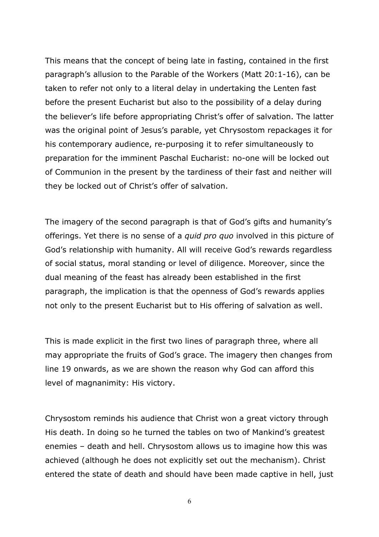This means that the concept of being late in fasting, contained in the first paragraph's allusion to the Parable of the Workers (Matt 20:1-16), can be taken to refer not only to a literal delay in undertaking the Lenten fast before the present Eucharist but also to the possibility of a delay during the believer's life before appropriating Christ's offer of salvation. The latter was the original point of Jesus's parable, yet Chrysostom repackages it for his contemporary audience, re-purposing it to refer simultaneously to preparation for the imminent Paschal Eucharist: no-one will be locked out of Communion in the present by the tardiness of their fast and neither will they be locked out of Christ's offer of salvation.

The imagery of the second paragraph is that of God's gifts and humanity's offerings. Yet there is no sense of a *quid pro quo* involved in this picture of God's relationship with humanity. All will receive God's rewards regardless of social status, moral standing or level of diligence. Moreover, since the dual meaning of the feast has already been established in the first paragraph, the implication is that the openness of God's rewards applies not only to the present Eucharist but to His offering of salvation as well.

This is made explicit in the first two lines of paragraph three, where all may appropriate the fruits of God's grace. The imagery then changes from line 19 onwards, as we are shown the reason why God can afford this level of magnanimity: His victory.

Chrysostom reminds his audience that Christ won a great victory through His death. In doing so he turned the tables on two of Mankind's greatest enemies – death and hell. Chrysostom allows us to imagine how this was achieved (although he does not explicitly set out the mechanism). Christ entered the state of death and should have been made captive in hell, just

6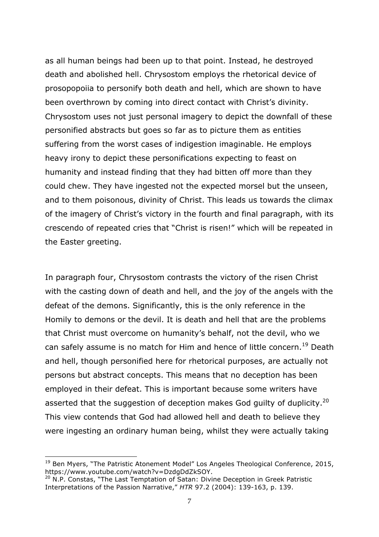as all human beings had been up to that point. Instead, he destroyed death and abolished hell. Chrysostom employs the rhetorical device of prosopopoiia to personify both death and hell, which are shown to have been overthrown by coming into direct contact with Christ's divinity. Chrysostom uses not just personal imagery to depict the downfall of these personified abstracts but goes so far as to picture them as entities suffering from the worst cases of indigestion imaginable. He employs heavy irony to depict these personifications expecting to feast on humanity and instead finding that they had bitten off more than they could chew. They have ingested not the expected morsel but the unseen, and to them poisonous, divinity of Christ. This leads us towards the climax of the imagery of Christ's victory in the fourth and final paragraph, with its crescendo of repeated cries that "Christ is risen!" which will be repeated in the Easter greeting.

In paragraph four, Chrysostom contrasts the victory of the risen Christ with the casting down of death and hell, and the joy of the angels with the defeat of the demons. Significantly, this is the only reference in the Homily to demons or the devil. It is death and hell that are the problems that Christ must overcome on humanity's behalf, not the devil, who we can safely assume is no match for Him and hence of little concern.<sup>19</sup> Death and hell, though personified here for rhetorical purposes, are actually not persons but abstract concepts. This means that no deception has been employed in their defeat. This is important because some writers have asserted that the suggestion of deception makes God guilty of duplicity.<sup>20</sup> This view contends that God had allowed hell and death to believe they were ingesting an ordinary human being, whilst they were actually taking

l

<sup>&</sup>lt;sup>19</sup> Ben Mvers, "The Patristic Atonement Model" Los Angeles Theological Conference, 2015, https://www.youtube.com/watch?v=DzdgDdZkSOY.

<sup>&</sup>lt;sup>20</sup> N.P. Constas, "The Last Temptation of Satan: Divine Deception in Greek Patristic Interpretations of the Passion Narrative," *HTR* 97.2 (2004): 139-163, p. 139.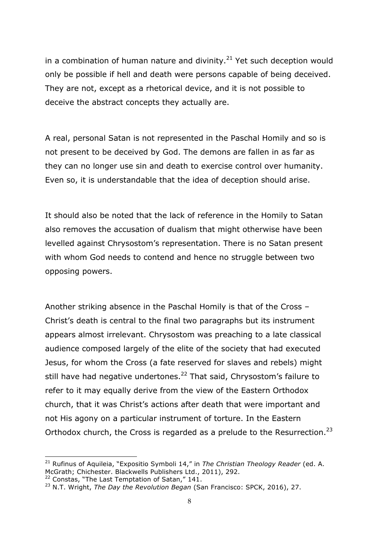in a combination of human nature and divinity. $^{21}$  Yet such deception would only be possible if hell and death were persons capable of being deceived. They are not, except as a rhetorical device, and it is not possible to deceive the abstract concepts they actually are.

A real, personal Satan is not represented in the Paschal Homily and so is not present to be deceived by God. The demons are fallen in as far as they can no longer use sin and death to exercise control over humanity. Even so, it is understandable that the idea of deception should arise.

It should also be noted that the lack of reference in the Homily to Satan also removes the accusation of dualism that might otherwise have been levelled against Chrysostom's representation. There is no Satan present with whom God needs to contend and hence no struggle between two opposing powers.

Another striking absence in the Paschal Homily is that of the Cross – Christ's death is central to the final two paragraphs but its instrument appears almost irrelevant. Chrysostom was preaching to a late classical audience composed largely of the elite of the society that had executed Jesus, for whom the Cross (a fate reserved for slaves and rebels) might still have had negative undertones.<sup>22</sup> That said, Chrysostom's failure to refer to it may equally derive from the view of the Eastern Orthodox church, that it was Christ's actions after death that were important and not His agony on a particular instrument of torture. In the Eastern Orthodox church, the Cross is regarded as a prelude to the Resurrection.<sup>23</sup>

l

<sup>21</sup> Rufinus of Aquileia, "Expositio Symboli 14," in *The Christian Theology Reader* (ed. A. McGrath; Chichester. Blackwells Publishers Ltd., 2011), 292.

 $^{22}$  Constas, "The Last Temptation of Satan," 141.

<sup>23</sup> N.T. Wright, *The Day the Revolution Began* (San Francisco: SPCK, 2016), 27.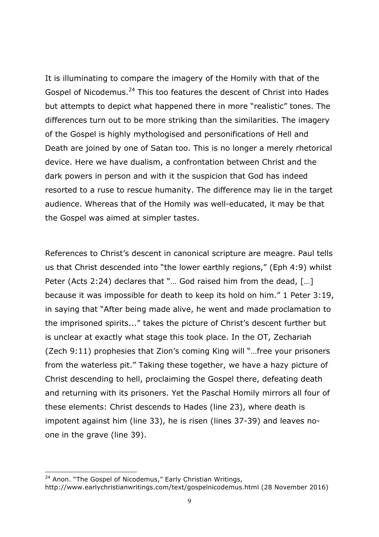It is illuminating to compare the imagery of the Homily with that of the Gospel of Nicodemus.<sup>24</sup> This too features the descent of Christ into Hades but attempts to depict what happened there in more "realistic" tones. The differences turn out to be more striking than the similarities. The imagery of the Gospel is highly mythologised and personifications of Hell and Death are joined by one of Satan too. This is no longer a merely rhetorical device. Here we have dualism, a confrontation between Christ and the dark powers in person and with it the suspicion that God has indeed resorted to a ruse to rescue humanity. The difference may lie in the target audience. Whereas that of the Homily was well-educated, it may be that the Gospel was aimed at simpler tastes.

References to Christ's descent in canonical scripture are meagre. Paul tells us that Christ descended into "the lower earthly regions," (Eph 4:9) whilst Peter (Acts 2:24) declares that "… God raised him from the dead, […] because it was impossible for death to keep its hold on him." 1 Peter 3:19, in saying that "After being made alive, he went and made proclamation to the imprisoned spirits..." takes the picture of Christ's descent further but is unclear at exactly what stage this took place. In the OT, Zechariah (Zech 9:11) prophesies that Zion's coming King will "…free your prisoners from the waterless pit." Taking these together, we have a hazy picture of Christ descending to hell, proclaiming the Gospel there, defeating death and returning with its prisoners. Yet the Paschal Homily mirrors all four of these elements: Christ descends to Hades (line 23), where death is impotent against him (line 33), he is risen (lines 37-39) and leaves noone in the grave (line 39).

l

<sup>&</sup>lt;sup>24</sup> Anon. "The Gospel of Nicodemus," Early Christian Writings, http://www.earlychristianwritings.com/text/gospelnicodemus.html (28 November 2016)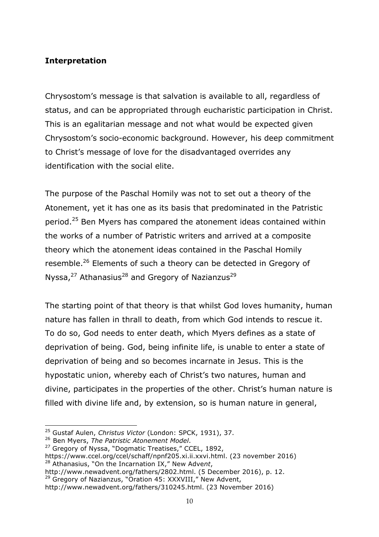## **Interpretation**

Chrysostom's message is that salvation is available to all, regardless of status, and can be appropriated through eucharistic participation in Christ. This is an egalitarian message and not what would be expected given Chrysostom's socio-economic background. However, his deep commitment to Christ's message of love for the disadvantaged overrides any identification with the social elite.

The purpose of the Paschal Homily was not to set out a theory of the Atonement, yet it has one as its basis that predominated in the Patristic period.<sup>25</sup> Ben Myers has compared the atonement ideas contained within the works of a number of Patristic writers and arrived at a composite theory which the atonement ideas contained in the Paschal Homily resemble.<sup>26</sup> Elements of such a theory can be detected in Gregory of Nyssa, $^{27}$  Athanasius<sup>28</sup> and Gregory of Nazianzus<sup>29</sup>

The starting point of that theory is that whilst God loves humanity, human nature has fallen in thrall to death, from which God intends to rescue it. To do so, God needs to enter death, which Myers defines as a state of deprivation of being. God, being infinite life, is unable to enter a state of deprivation of being and so becomes incarnate in Jesus. This is the hypostatic union, whereby each of Christ's two natures, human and divine, participates in the properties of the other. Christ's human nature is filled with divine life and, by extension, so is human nature in general,

l

http://www.newadvent.org/fathers/2802.html. (5 December 2016), p. 12. <sup>29</sup> Gregory of Nazianzus, "Oration 45: XXXVIII," New Advent,

<sup>25</sup> Gustaf Aulen, *Christus Victor* (London: SPCK, 1931), 37.

<sup>26</sup> Ben Myers, *The Patristic Atonement Model*.

<sup>&</sup>lt;sup>27</sup> Gregory of Nyssa, "Dogmatic Treatises," CCEL, 1892,

https://www.ccel.org/ccel/schaff/npnf205.xi.ii.xxvi.html. (23 november 2016) <sup>28</sup> Athanasius, "On the Incarnation IX," New Adve*nt*,

http://www.newadvent.org/fathers/310245.html. (23 November 2016)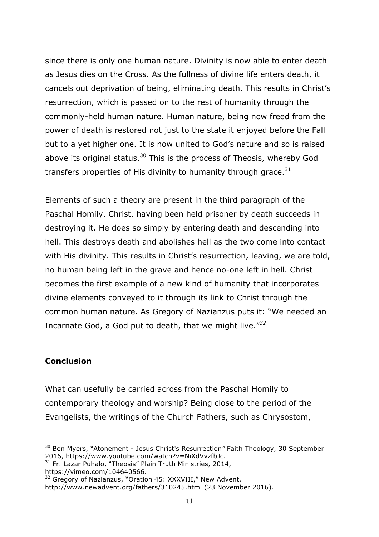since there is only one human nature. Divinity is now able to enter death as Jesus dies on the Cross. As the fullness of divine life enters death, it cancels out deprivation of being, eliminating death. This results in Christ's resurrection, which is passed on to the rest of humanity through the commonly-held human nature. Human nature, being now freed from the power of death is restored not just to the state it enjoyed before the Fall but to a yet higher one. It is now united to God's nature and so is raised above its original status.<sup>30</sup> This is the process of Theosis, whereby God transfers properties of His divinity to humanity through grace. $^{31}$ 

Elements of such a theory are present in the third paragraph of the Paschal Homily. Christ, having been held prisoner by death succeeds in destroying it. He does so simply by entering death and descending into hell. This destroys death and abolishes hell as the two come into contact with His divinity. This results in Christ's resurrection, leaving, we are told, no human being left in the grave and hence no-one left in hell. Christ becomes the first example of a new kind of humanity that incorporates divine elements conveyed to it through its link to Christ through the common human nature. As Gregory of Nazianzus puts it: "We needed an Incarnate God, a God put to death, that we might live."*<sup>32</sup>*

#### **Conclusion**

 $\overline{a}$ 

What can usefully be carried across from the Paschal Homily to contemporary theology and worship? Being close to the period of the Evangelists, the writings of the Church Fathers, such as Chrysostom,

https://vimeo.com/104640566.

<sup>30</sup> Ben Myers, "Atonement - Jesus Christ's Resurrection*"* Faith Theology, 30 September 2016, https://www.youtube.com/watch?v=NiXdVvzfbJc.

 $31$  Fr. Lazar Puhalo, "Theosis" Plain Truth Ministries, 2014,

<sup>&</sup>lt;sup>32</sup> Gregory of Nazianzus, "Oration 45: XXXVIII," New Advent,

http://www.newadvent.org/fathers/310245.html (23 November 2016).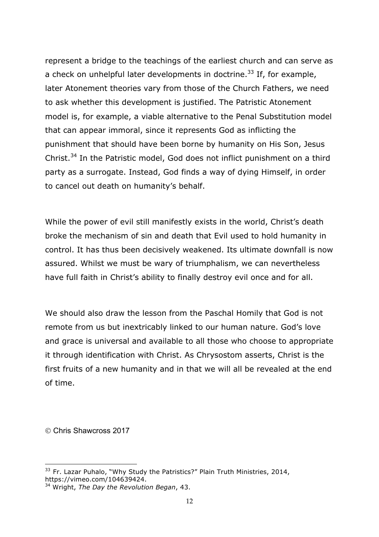represent a bridge to the teachings of the earliest church and can serve as a check on unhelpful later developments in doctrine.<sup>33</sup> If, for example, later Atonement theories vary from those of the Church Fathers, we need to ask whether this development is justified. The Patristic Atonement model is, for example, a viable alternative to the Penal Substitution model that can appear immoral, since it represents God as inflicting the punishment that should have been borne by humanity on His Son, Jesus Christ.<sup>34</sup> In the Patristic model, God does not inflict punishment on a third party as a surrogate. Instead, God finds a way of dying Himself, in order to cancel out death on humanity's behalf.

While the power of evil still manifestly exists in the world, Christ's death broke the mechanism of sin and death that Evil used to hold humanity in control. It has thus been decisively weakened. Its ultimate downfall is now assured. Whilst we must be wary of triumphalism, we can nevertheless have full faith in Christ's ability to finally destroy evil once and for all.

We should also draw the lesson from the Paschal Homily that God is not remote from us but inextricably linked to our human nature. God's love and grace is universal and available to all those who choose to appropriate it through identification with Christ. As Chrysostom asserts, Christ is the first fruits of a new humanity and in that we will all be revealed at the end of time.

Ó Chris Shawcross 2017

l  $33$  Fr. Lazar Puhalo, "Why Study the Patristics?" Plain Truth Ministries, 2014, https://vimeo.com/104639424.

<sup>34</sup> Wright, *The Day the Revolution Began*, 43.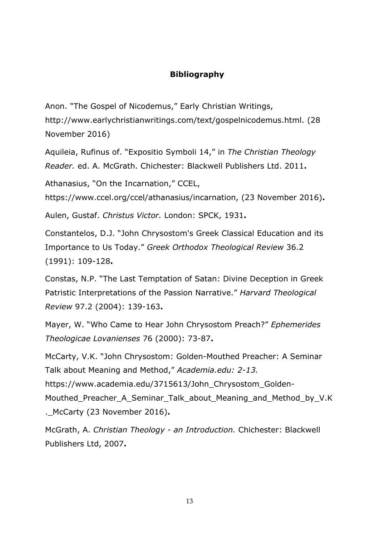# **Bibliography**

Anon. "The Gospel of Nicodemus," Early Christian Writings,

http://www.earlychristianwritings.com/text/gospelnicodemus.html. (28 November 2016)

Aquileia, Rufinus of. "Expositio Symboli 14," in *The Christian Theology Reader.* ed. A. McGrath. Chichester: Blackwell Publishers Ltd. 2011**.**

Athanasius, "On the Incarnation," CCEL,

https://www.ccel.org/ccel/athanasius/incarnation, (23 November 2016)**.**

Aulen, Gustaf. *Christus Victor.* London: SPCK, 1931**.**

Constantelos, D.J. "John Chrysostom's Greek Classical Education and its Importance to Us Today." *Greek Orthodox Theological Review* 36.2 (1991): 109-128**.**

Constas, N.P. "The Last Temptation of Satan: Divine Deception in Greek Patristic Interpretations of the Passion Narrative." *Harvard Theological Review* 97.2 (2004): 139-163**.**

Mayer, W. "Who Came to Hear John Chrysostom Preach?" *Ephemerides Theologicae Lovanienses* 76 (2000): 73-87**.**

McCarty, V.K. "John Chrysostom: Golden-Mouthed Preacher: A Seminar Talk about Meaning and Method," *Academia.edu: 2-13.* https://www.academia.edu/3715613/John\_Chrysostom\_Golden-Mouthed Preacher A Seminar Talk about Meaning and Method by V.K .\_McCarty (23 November 2016)**.**

McGrath, A. *Christian Theology - an Introduction.* Chichester: Blackwell Publishers Ltd, 2007**.**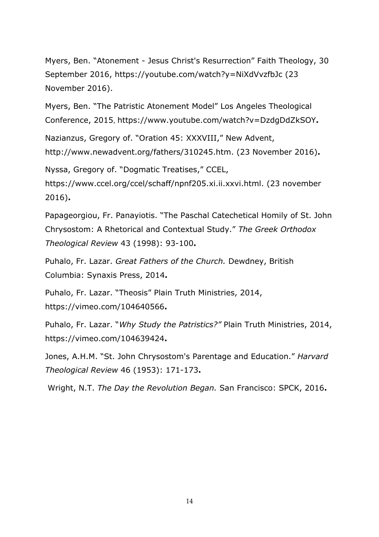Myers, Ben. "Atonement - Jesus Christ's Resurrection" Faith Theology, 30 September 2016, https://youtube.com/watch?y=NiXdVvzfbJc (23 November 2016).

Myers, Ben. "The Patristic Atonement Model" Los Angeles Theological Conference, 2015, https://www.youtube.com/watch?v=DzdgDdZkSOY**.**

Nazianzus, Gregory of. "Oration 45: XXXVIII," New Advent,

http://www.newadvent.org/fathers/310245.htm. (23 November 2016)**.**

Nyssa, Gregory of. "Dogmatic Treatises," CCEL,

https://www.ccel.org/ccel/schaff/npnf205.xi.ii.xxvi.html. (23 november 2016)**.**

Papageorgiou, Fr. Panayiotis. "The Paschal Catechetical Homily of St. John Chrysostom: A Rhetorical and Contextual Study." *The Greek Orthodox Theological Review* 43 (1998): 93-100**.**

Puhalo, Fr. Lazar. *Great Fathers of the Church.* Dewdney, British Columbia: Synaxis Press, 2014**.**

Puhalo, Fr. Lazar. "Theosis" Plain Truth Ministries, 2014, https://vimeo.com/104640566**.**

Puhalo, Fr. Lazar. "*Why Study the Patristics?"* Plain Truth Ministries, 2014, https://vimeo.com/104639424**.**

Jones, A.H.M. "St. John Chrysostom's Parentage and Education." *Harvard Theological Review* 46 (1953): 171-173**.**

Wright, N.T. *The Day the Revolution Began.* San Francisco: SPCK, 2016**.**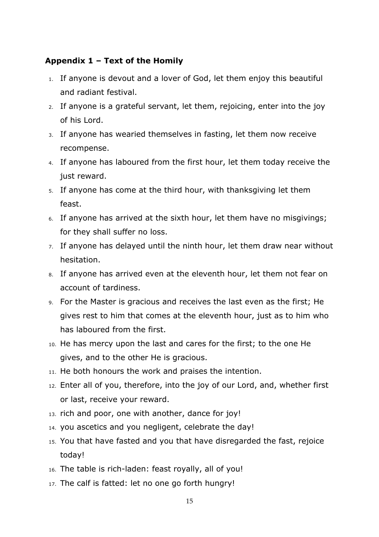### **Appendix 1 – Text of the Homily**

- 1. If anyone is devout and a lover of God, let them enjoy this beautiful and radiant festival.
- 2. If anyone is a grateful servant, let them, rejoicing, enter into the joy of his Lord.
- 3. If anyone has wearied themselves in fasting, let them now receive recompense.
- 4. If anyone has laboured from the first hour, let them today receive the just reward.
- 5. If anyone has come at the third hour, with thanksgiving let them feast.
- 6. If anyone has arrived at the sixth hour, let them have no misgivings; for they shall suffer no loss.
- 7. If anyone has delayed until the ninth hour, let them draw near without hesitation.
- 8. If anyone has arrived even at the eleventh hour, let them not fear on account of tardiness.
- 9. For the Master is gracious and receives the last even as the first; He gives rest to him that comes at the eleventh hour, just as to him who has laboured from the first.
- 10. He has mercy upon the last and cares for the first; to the one He gives, and to the other He is gracious.
- 11. He both honours the work and praises the intention.
- 12. Enter all of you, therefore, into the joy of our Lord, and, whether first or last, receive your reward.
- 13. rich and poor, one with another, dance for joy!
- 14. you ascetics and you negligent, celebrate the day!
- 15. You that have fasted and you that have disregarded the fast, rejoice today!
- 16. The table is rich-laden: feast royally, all of you!
- 17. The calf is fatted: let no one go forth hungry!